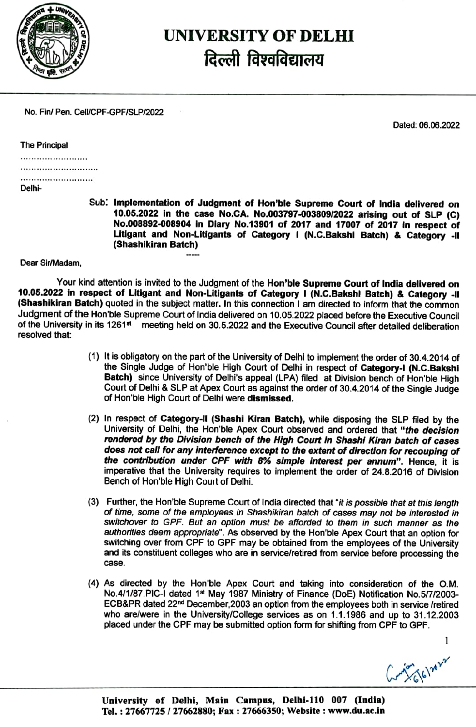

## UNIVERSITY OF DELHI दिल्ली विश्वविद्यालय

No. Fin/ Pen. Cell/CPF-GPF/SLP/2022

Dated: 06.06.2022

| The Principal |  |
|---------------|--|
|---------------|--|

|  |  | <b>Dalhi</b> |  |  |  |  |  |  |  |  |  |  |  |  |
|--|--|--------------|--|--|--|--|--|--|--|--|--|--|--|--|

Delhi

Sub: Implementation of Judgment of Hon'ble Supreme Court of India delivered on 10.05.2022 in the case No.CA. No.003797-003809/2022 arising out of SLP (C) No.008892-008904 In Dlary No.13901 of 2017 and 17007 of 2017 in respect of Litigant and Non-Litigants of Category I (N.C.Bakshi Batch) & Category -II (Shashikiran Batch)

Dear Sir/Madam,

Your kind attention is invited to the Judgment of the Hon'ble Supreme Court of India delivered on 10.05.2022 in respect of Litigant and Non-Litigants of Category I (N.C.Bakshi Batch) & Category -II<br>(Shashikiran Batch) quoted in the subject matter. In this connection I am directed to inform that the common Judgment of the Hon'ble Supreme Court of India delivered on 10.05.2022 placed before the Executive Councll of the University in its 1261<sup>st</sup> meeting held on 30.5.2022 and the Executive Council after detailed deliberation resolved that:

- (1) It is obligatory on the part of the University of Delhi to implement the order of 30.4.2014 of the Single Judge of Hon'ble High Court of Delhi in respect of Category-i (N.C.Bakshi Batch) since University of Delhi's appeal (LPA) filed at Division bench of Hon'ble High Court of Delhi & SLP at Apex Court as against the oder of 30.4.2014 of the Single Judge of Hon'ble High Court of Delhi were dismissed.
- (2) In respect of Category-ll (Shashi Kiran Batch), while disposing the SLP filed by the University of Delhi, the Hon'ble Apex Court observed and ordered that "the decision rendered by the Division bench of the High Court in Shashi Kiran batch of cases does not call for any interference except to the extent of direction for recouping of the contribution under CPF with 8% simple interest per annum". Hence, it is imperative that the University requires to implement the order of 24.8.2016 of Division Bench of Hon'ble High Court of Delhi.
- (3) Further, the Hon'ble Supreme Court of India directed that "it is possible that at this length of fime, some of the employees in Shashikiran batch of cases may not be interested in Switchover to GPF. But an option must be afforded to them in such manner as the authorities deem appropriate". As observed by the Hon'ble Apex Court that an option for Switching over from CPF to GPF may be obtained from the employees of the University and its constituent colleges who are in service/retired from service before processing the case.
- (4) As directed by the Hon'ble Apex Court and taking into consideration of the O.M. No.4/1/87.PIC-I dated 1st May 1987 Ministry of Finance (DoE) Notification No.5/7/2003-ECB&PR dated 22nd December,2003 an option from the employees both in service iretired who are/were in the University/College services as on 1.1.1986 and up to 31.12.2003 placed under the CPF may be submitted option form for shiftüng from CPF to GPF.

Gry 66/2022

1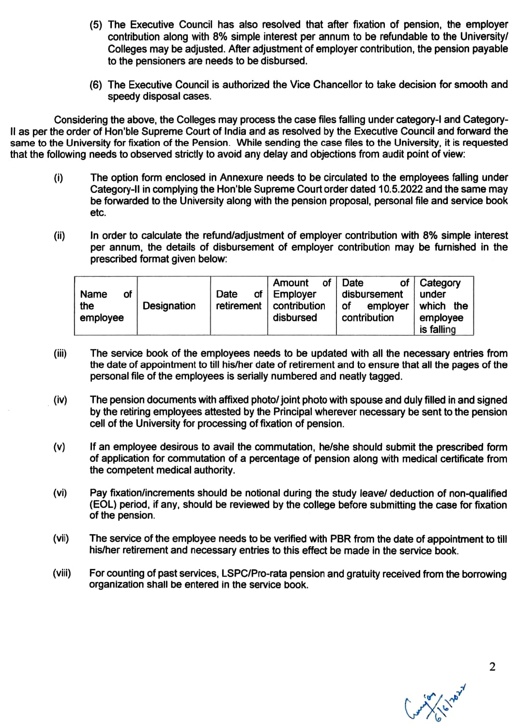- (5) The Executive Council has also resoved that after fixation of pension, the employer contribution along with 8% simple interest per annum to be refundable to the University Colleges may be adjusted. After adjustment of employer contribution, the pension payable to the pensioners are needs to be disbursed.
- (6) The Executive Council is authorized the Vice Chancellor to take decision for smooth and speedy disposal cases.

Considering the above, the Colleges may process the case files faling under category-I and Category Il as per the order of Hon'ble Supreme Court of India and as resolved by the Executive Council and forward the same to the University for fixation of the Pension. While sending the case files to the University, it is requested that the following needs to observed strictly to avoid any delay and objections from audit point of view:

- The option form enclosed in Annexure needs to be circulated to the employees falling under  $(i)$ Category-II in complying the Hon'ble Supreme Court order dated 10.5.2022 and the same may be forwarded to the University along with the pension proposal, personal file and service book etc.
- In order to calculate the refund/adjustment of employer contribution with 8% simple interest per annum, the details of disbursement of employer contribution may be furnished in the prescribed format given below (i)

| оf<br>Name<br>Designation<br>the<br>employee | Date<br>retirement | of<br>Amount<br>of   Employer<br>contribution<br>disbursed | Date<br>Οf<br>disbursement<br>employer<br>Οf<br>contribution | <b>Category</b><br>under<br>which the<br>employee<br>is falling |
|----------------------------------------------|--------------------|------------------------------------------------------------|--------------------------------------------------------------|-----------------------------------------------------------------|
|----------------------------------------------|--------------------|------------------------------------------------------------|--------------------------------------------------------------|-----------------------------------------------------------------|

- (ii) The service book of the employees needs to be updated with all the necessary entries from the date of appointment to till his/her date of retirement and to ensure that all the pages of the personal file of the employees is serially numbered and neatly tagged.
- (iv) The pension documents with affixed photo/ joint photo with spouse and duly flled in and signed by the retiring employees attested by the Principal wherever necessary be sent to the pension cell of the University for processing of fixation of pension.
- (v) If an employee desirous to avail the commutation, he/she should submit the prescribed form of application for commutation of a percentage of pension along with medical certificate from the competent medical authority.
- (vi) Pay fixation/increments should be notional during the study leavel deduction of non-qualified (EOL) period, if any, should be reviewed by the college before submitting the case for fixation of the pension.
- The service of the employee needs to be verified with PBR from the date of appointment to till his/her retirement and necessary entries to this effect be made in the service book. (Vil)
- (vii) For counting of past services, LSPC/Pro-rata pension and gratuity received from the borrowing organization shall be entered in the service book.

Caryland C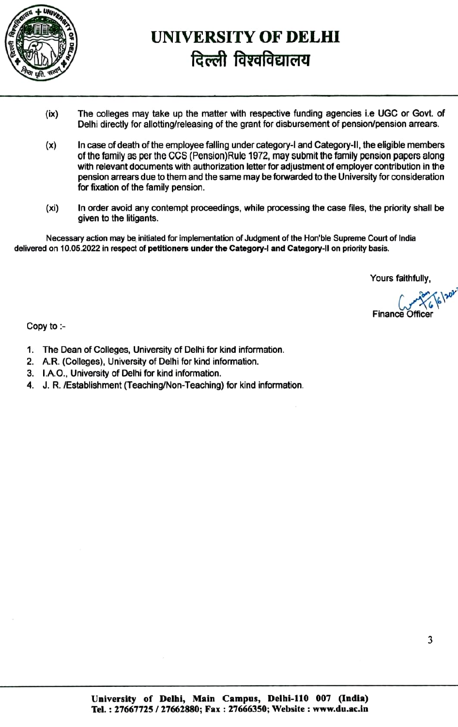

## UNIVERSITY OF DELHI दिल्ली विश्वविद्यालय

- The colleges may take up the matter with respective funding agencies i.e UGC or Govt. of (ix) The colleges may take up the matter with respective funding agencies i.e UGC or Govt. of<br>Delhi directly for allotting/releasing of the grant for disbursement of pension/pension arrears.
- In case of death of the employee falling under category-I and Category-ll, the eligible members of the family as per the CCS (Pension) Rule 1972, may submit the family pension papers along with relevant documents with authorization letter for adjustment of employer contribution in the pension arrears due to them and the same may be forwarded to the University for consideration for fixation of the family pension. (x)
- In order avoid any contempt proceedings, while processing the case fles, the priority shall be given to the litigants. (Xi)

Necessary action may be initiated for implementation of Judgment of the Hon'ble Supreme Court of India delivered on 10.05.2022 in respect of petitioners under the Category-I and Category-II on priority basis.

Yours faithfully,

Finance Of

Copy to

- 1. The Dean of Colleges, University of Delhi for kind information.
- 2. A.R. (Colleges), University of Delhi for kind information.
- 3. I.A.O., University of Delhi for kind information.
- 4. J.R. Establishment (Teaching/Non-Teaching) for kind information.